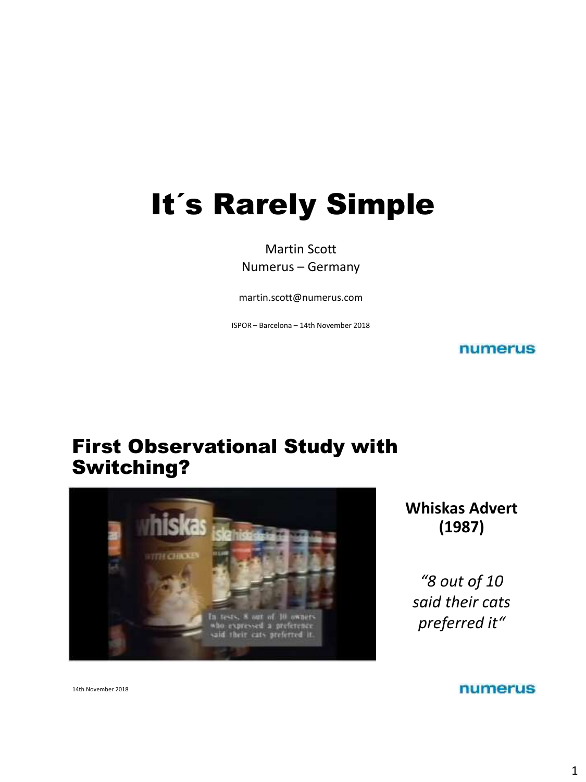# It´s Rarely Simple

Martin Scott Numerus – Germany

martin.scott@numerus.com

ISPOR – Barcelona – 14th November 2018

numerus

### First Observational Study with Switching?



**Whiskas Advert (1987)**

*"8 out of 10 said their cats preferred it"*

numerus

14th November 2018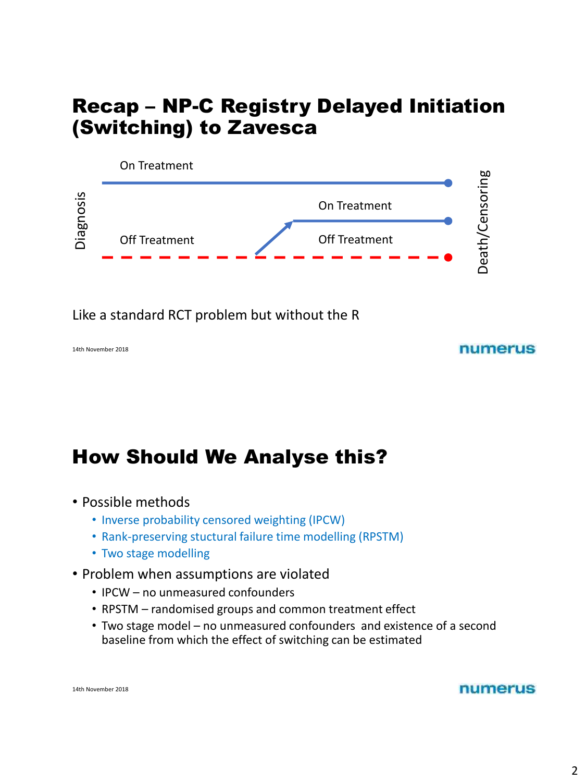### Recap – NP-C Registry Delayed Initiation (Switching) to Zavesca



Like a standard RCT problem but without the R

#### numerus

# How Should We Analyse this?

- Possible methods
	- Inverse probability censored weighting (IPCW)
	- Rank-preserving stuctural failure time modelling (RPSTM)
	- Two stage modelling
- Problem when assumptions are violated
	- IPCW no unmeasured confounders
	- RPSTM randomised groups and common treatment effect
	- Two stage model no unmeasured confounders and existence of a second baseline from which the effect of switching can be estimated

14th November 2018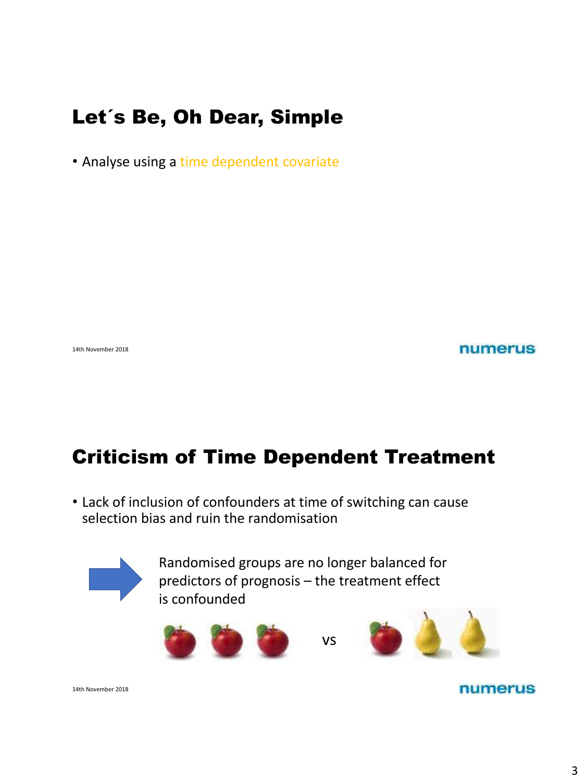# Let´s Be, Oh Dear, Simple

• Analyse using a time dependent covariate

14th November 2018

numerus

# Criticism of Time Dependent Treatment

• Lack of inclusion of confounders at time of switching can cause selection bias and ruin the randomisation



Randomised groups are no longer balanced for predictors of prognosis – the treatment effect is confounded





14th November 2018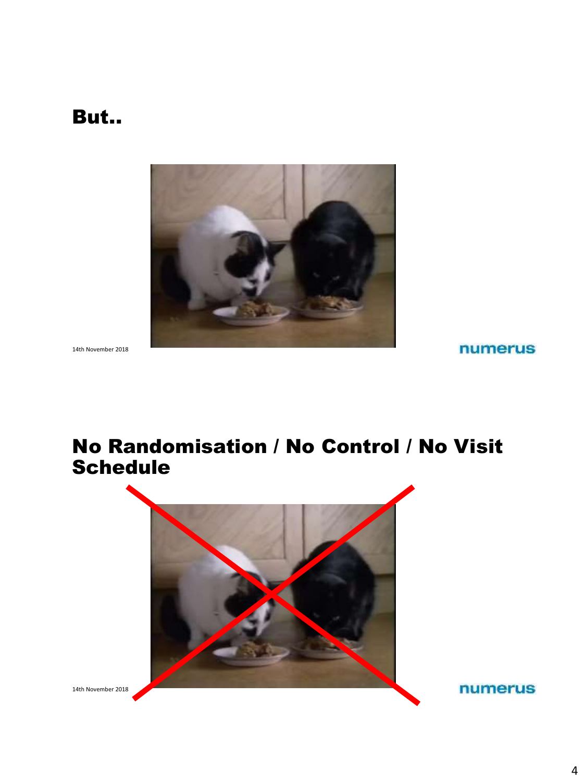### But..



14th November 2018

numerus

### No Randomisation / No Control / No Visit Schedule



14th November 2018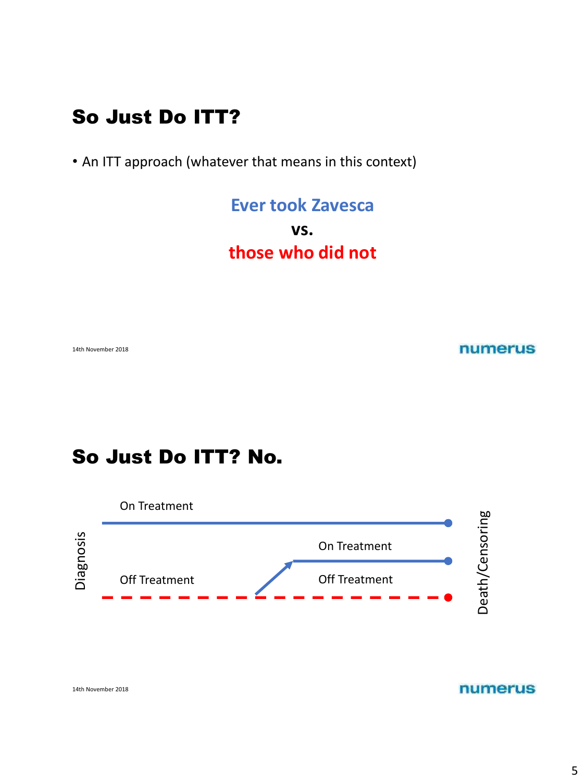# So Just Do ITT?

• An ITT approach (whatever that means in this context)

**Ever took Zavesca vs. those who did not**

14th November 2018

numerus

# So Just Do ITT? No.

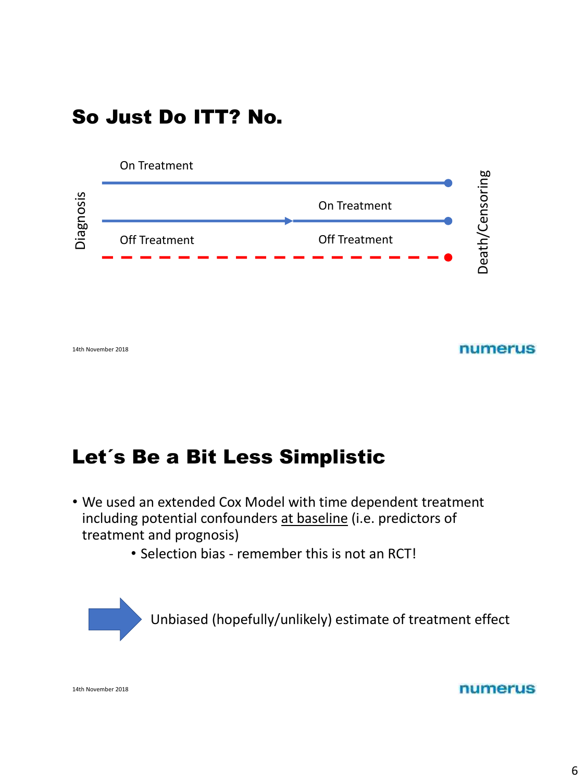# So Just Do ITT? No.



numerus

# Let´s Be a Bit Less Simplistic

- We used an extended Cox Model with time dependent treatment including potential confounders at baseline (i.e. predictors of treatment and prognosis)
	- Selection bias remember this is not an RCT!



14th November 2018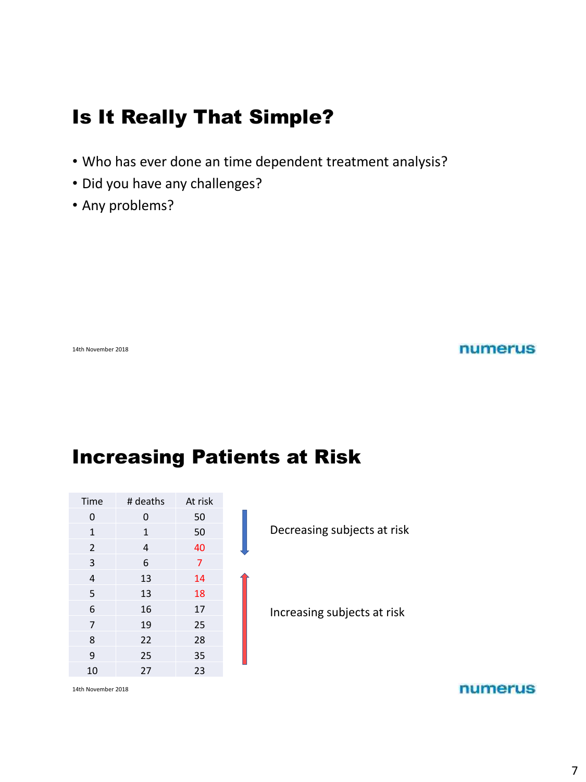# Is It Really That Simple?

- Who has ever done an time dependent treatment analysis?
- Did you have any challenges?
- Any problems?

14th November 2018

#### numerus

# Increasing Patients at Risk

| Time             | # deaths     | At risk        |  |  |
|------------------|--------------|----------------|--|--|
| 0                | 0            | 50             |  |  |
| $\mathbf{1}$     | $\mathbf{1}$ | 50             |  |  |
| $\overline{2}$   | 4            | 40             |  |  |
| 3                | 6            | $\overline{7}$ |  |  |
| 4                | 13           | 14             |  |  |
| 5                | 13           | 18             |  |  |
| 6                | 16           | 17             |  |  |
| $\overline{7}$   | 19           | 25             |  |  |
| 8                | 22           | 28             |  |  |
| 9                | 25           | 35             |  |  |
| 10               | 27           | 23             |  |  |
| $1.445$ M   2010 |              |                |  |  |

Decreasing subjects at risk

Increasing subjects at risk

14th November 2018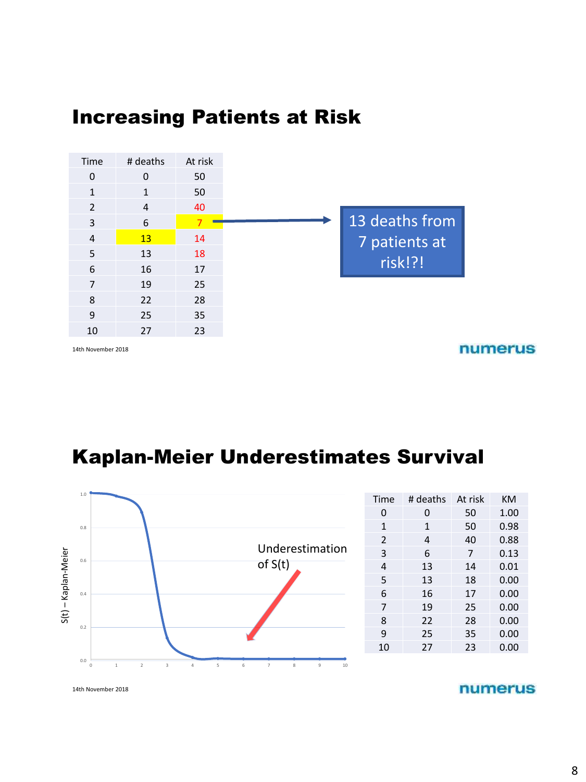### Increasing Patients at Risk



14th November 2018

numerus

# Kaplan-Meier Underestimates Survival



| Time          | # deaths | At risk | KM   |
|---------------|----------|---------|------|
| 0             | 0        | 50      | 1.00 |
| $\mathbf{1}$  | 1        | 50      | 0.98 |
| $\mathcal{P}$ | 4        | 40      | 0.88 |
| 3             | 6        | 7       | 0.13 |
| 4             | 13       | 14      | 0.01 |
| 5             | 13       | 18      | 0.00 |
| 6             | 16       | 17      | 0.00 |
| 7             | 19       | 25      | 0.00 |
| 8             | 22       | 28      | 0.00 |
| 9             | 25       | 35      | 0.00 |
| 10            | 27       | 23      | 0.00 |
|               |          |         |      |

14th November 2018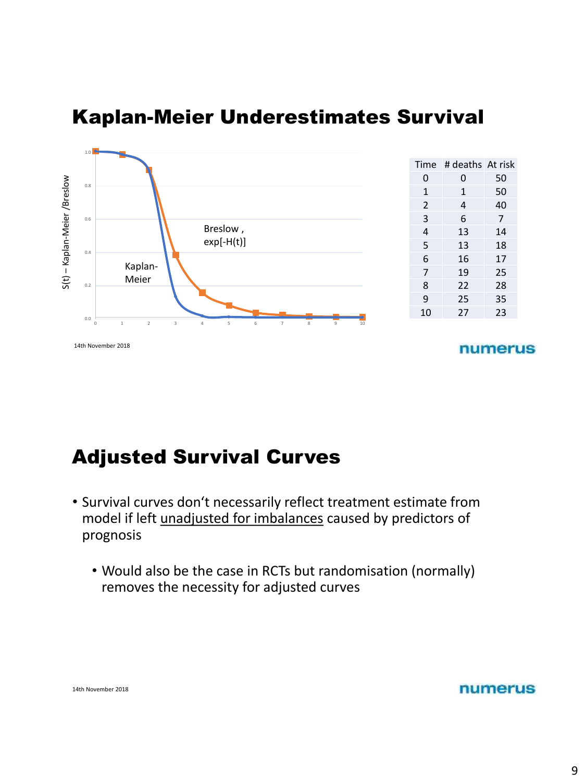

### Kaplan-Meier Underestimates Survival



# Adjusted Survival Curves

- Survival curves don't necessarily reflect treatment estimate from model if left unadjusted for imbalances caused by predictors of prognosis
	- Would also be the case in RCTs but randomisation (normally) removes the necessity for adjusted curves

|  | 14th November 2018 |  |
|--|--------------------|--|
|--|--------------------|--|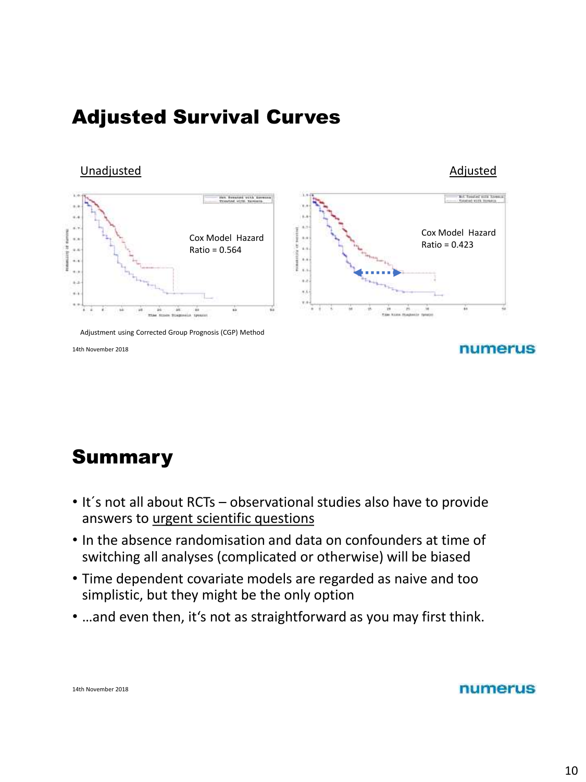# Adjusted Survival Curves

Unadjusted Adjusted Adjusted Adjusted Adjusted Adjusted Adjusted Adjusted Adjusted Adjusted Adjusted Adjusted



14th November 2018

# Summary

- It´s not all about RCTs observational studies also have to provide answers to urgent scientific questions
- In the absence randomisation and data on confounders at time of switching all analyses (complicated or otherwise) will be biased
- Time dependent covariate models are regarded as naive and too simplistic, but they might be the only option
- …and even then, it's not as straightforward as you may first think.